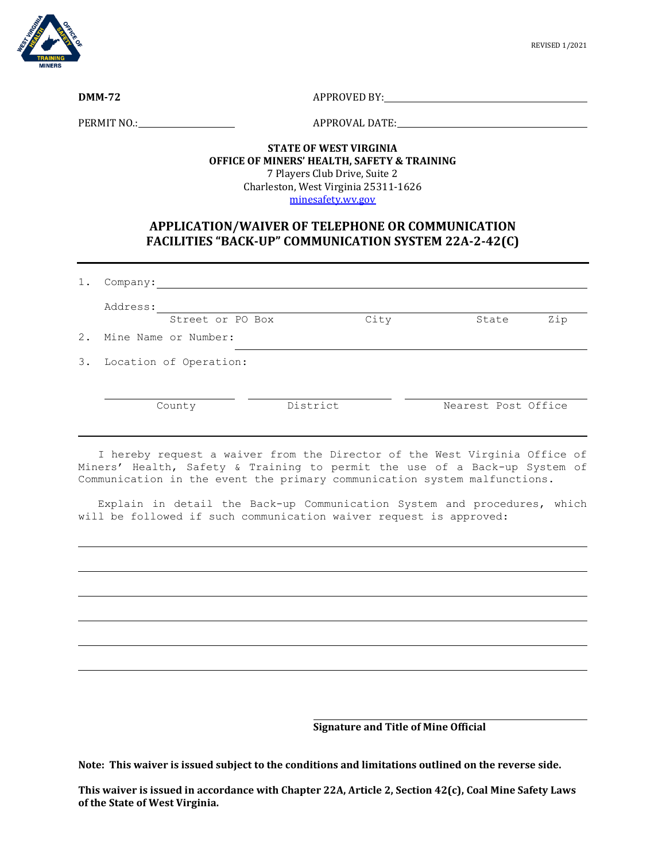

**DMM-72** APPROVED BY:

PERMIT NO.: APPROVAL DATE:

## **STATE OF WEST VIRGINIA OFFICE OF MINERS' HEALTH, SAFETY & TRAINING** 7 Players Club Drive, Suite 2 Charleston, West Virginia 25311-1626

[minesafety.wv.gov](https://minesafety.wv.gov/)

## **APPLICATION/WAIVER OF TELEPHONE OR COMMUNICATION FACILITIES "BACK-UP" COMMUNICATION SYSTEM 22A-2-42(C)**

| $1$ . | Company:                |          |      |                     |     |
|-------|-------------------------|----------|------|---------------------|-----|
|       | Address:                |          |      |                     |     |
|       | Street or PO Box        |          | City | State               | Zip |
|       | 2. Mine Name or Number: |          |      |                     |     |
| 3.    | Location of Operation:  |          |      |                     |     |
|       |                         |          |      |                     |     |
|       | County                  | District |      | Nearest Post Office |     |
|       |                         |          |      |                     |     |

 I hereby request a waiver from the Director of the West Virginia Office of Miners' Health, Safety & Training to permit the use of a Back-up System of Communication in the event the primary communication system malfunctions.

 Explain in detail the Back-up Communication System and procedures, which will be followed if such communication waiver request is approved:

**Signature and Title of Mine Official**

**Note: This waiver is issued subject to the conditions and limitations outlined on the reverse side.**

**This waiver is issued in accordance with Chapter 22A, Article 2, Section 42(c), Coal Mine Safety Laws of the State of West Virginia.**